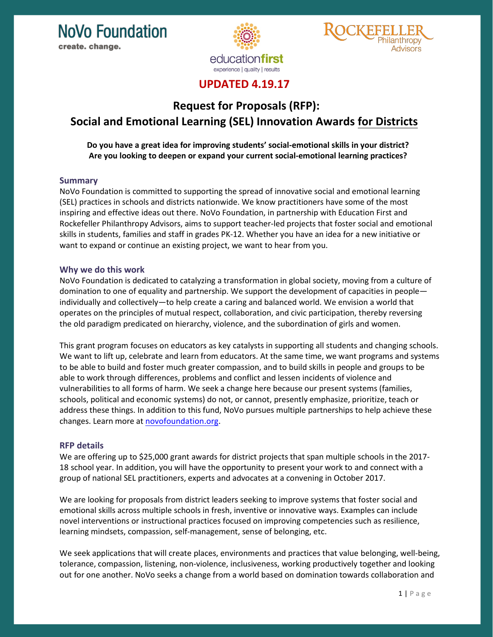create. change.





# **UPDATED 4.19.17**

# **Request for Proposals (RFP): Social and Emotional Learning (SEL) Innovation Awards for Districts**

**Do you have a great idea for improving students' social-emotional skills in your district? Are you looking to deepen or expand your current social-emotional learning practices?** 

### **Summary**

NoVo Foundation is committed to supporting the spread of innovative social and emotional learning (SEL) practices in schools and districts nationwide. We know practitioners have some of the most inspiring and effective ideas out there. NoVo Foundation, in partnership with Education First and Rockefeller Philanthropy Advisors, aims to support teacher-led projects that foster social and emotional skills in students, families and staff in grades PK-12. Whether you have an idea for a new initiative or want to expand or continue an existing project, we want to hear from you.

#### **Why we do this work**

NoVo Foundation is dedicated to catalyzing a transformation in global society, moving from a culture of domination to one of equality and partnership. We support the development of capacities in people individually and collectively—to help create a caring and balanced world. We envision a world that operates on the principles of mutual respect, collaboration, and civic participation, thereby reversing the old paradigm predicated on hierarchy, violence, and the subordination of girls and women.

This grant program focuses on educators as key catalysts in supporting all students and changing schools. We want to lift up, celebrate and learn from educators. At the same time, we want programs and systems to be able to build and foster much greater compassion, and to build skills in people and groups to be able to work through differences, problems and conflict and lessen incidents of violence and vulnerabilities to all forms of harm. We seek a change here because our present systems (families, schools, political and economic systems) do not, or cannot, presently emphasize, prioritize, teach or address these things. In addition to this fund, NoVo pursues multiple partnerships to help achieve these changes. Learn more at [novofoundation.org.](http://novofoundation.org/)

#### **RFP details**

We are offering up to \$25,000 grant awards for district projects that span multiple schools in the 2017- 18 school year. In addition, you will have the opportunity to present your work to and connect with a group of national SEL practitioners, experts and advocates at a convening in October 2017.

We are looking for proposals from district leaders seeking to improve systems that foster social and emotional skills across multiple schools in fresh, inventive or innovative ways. Examples can include novel interventions or instructional practices focused on improving competencies such as resilience, learning mindsets, compassion, self-management, sense of belonging, etc.

We seek applications that will create places, environments and practices that value belonging, well-being, tolerance, compassion, listening, non-violence, inclusiveness, working productively together and looking out for one another. NoVo seeks a change from a world based on domination towards collaboration and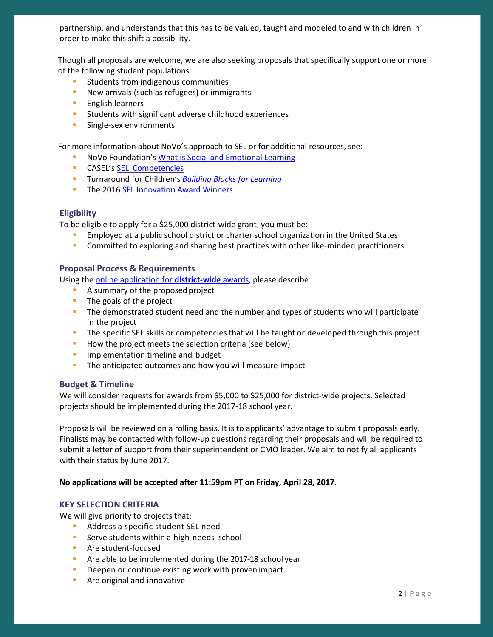partnership, and understands that this has to be valued, taught and modeled to and with children in order to make this shift a possibility.

Though all proposals are welcome, we are also seeking proposals that specifically support one or more of the following student populations:

- **Students from indigenous communities**
- **New arrivals (such as refugees) or immigrants**
- **English learners**
- **Students with significant adverse childhood experiences**
- **Single-sex environments**

For more information about NoVo's approach to SEL or for additional resources, see:

- NoVo Foundation's What is Social [and Emotional Learning](http://novofoundation.org/advancing-social-and-emotional-learning/what-is-social-and-emotional-learning/)
- **CASEL's SEL [Competencies](http://www.casel.org/social-and-emotional-learning/core-competencies/)**
- Turnaround for Children's *[Building Blocks for](http://turnaroundusa.org/wp-content/uploads/2016/03/Turnaround-for-Children-Building-Blocks-for-Learningx-2.pdf) Learning*
- **The 2016 [SEL Innovation Award Winners](http://education-first.com/social-emotional-learning-innovation-fund/)**

# **Eligibility**

To be eligible to apply for a \$25,000 district-wide grant, you must be:

- Employed at a public school district or charter school organization in the United States
- **Committed to exploring and sharing best practices with other like-minded practitioners.**

#### **Proposal Process & Requirements**

Using the [online application for](http://bit.ly/2myknXU) **district-wide** awards, please describe:

- A summary of the proposed project
- $\blacksquare$  The goals of the project
- The demonstrated student need and the number and types of students who will participate in the project
- The specific SEL skills or competencies that will be taught or developed through this project
- How the project meets the selection criteria (see below)
- **Implementation timeline and budget**
- **The anticipated outcomes and how you will measure impact**

# **Budget & Timeline**

We will consider requests for awards from \$5,000 to \$25,000 for district-wide projects. Selected projects should be implemented during the 2017-18 school year.

Proposals will be reviewed on a rolling basis. It is to applicants' advantage to submit proposals early. Finalists may be contacted with follow-up questions regarding their proposals and will be required to submit a letter of support from their superintendent or CMO leader. We aim to notify all applicants with their status by June 2017.

#### **No applications will be accepted after 11:59pm PT on Friday, April 28, 2017.**

# **KEY SELECTION CRITERIA**

We will give priority to projects that:

- Address a specific student SEL need
- **Serve students within a high-needs school**
- **Are student-focused**
- **Are able to be implemented during the 2017-18 school year**
- **Deepen or continue existing work with proven impact**
- **Are original and innovative**